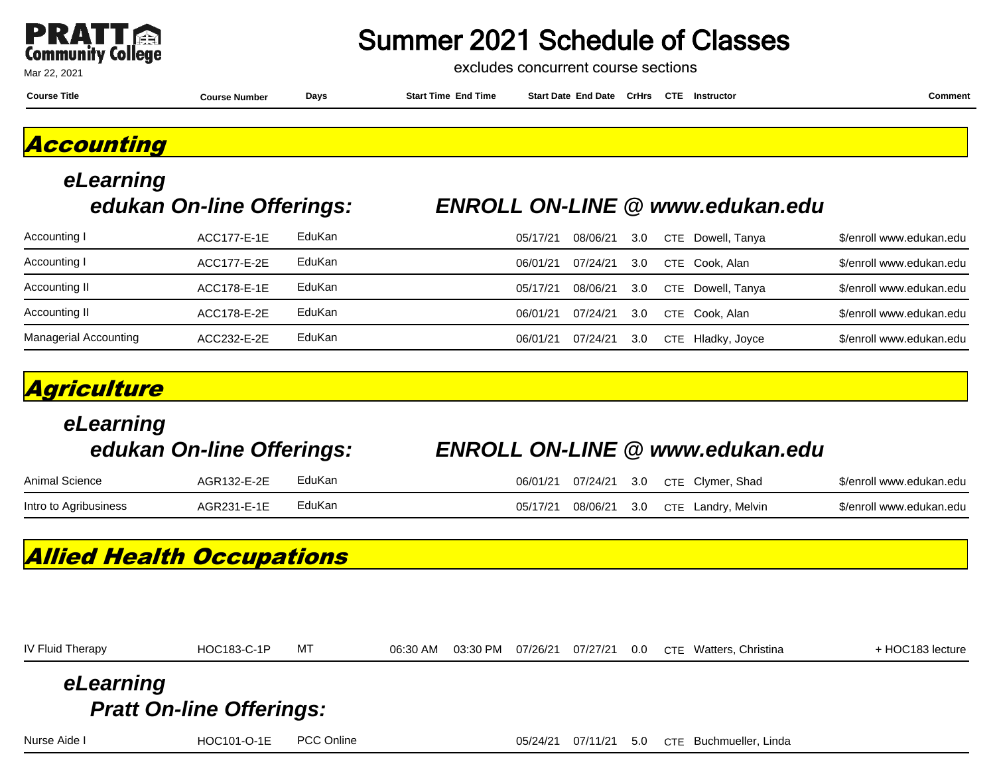

excludes concurrent course sections

**Course Title Course Number Days Start Time End Time Start Date End Date CrHrs Instructor Comment CTE**

**Accounting**

## **eLearning**

#### **edukan On-line Offerings: ENROLL ON-LINE @ www.edukan.edu**

| Accounting I                 | ACC177-E-1E | EduKan | 05/17/21 | 08/06/21 | 3.0  | CTE Dowell, Tanya | \$/enroll www.edukan.edu |
|------------------------------|-------------|--------|----------|----------|------|-------------------|--------------------------|
| Accounting I                 | ACC177-E-2E | EduKan | 06/01/21 | 07/24/21 | 3.0  | CTE Cook. Alan    | \$/enroll www.edukan.edu |
| Accounting II                | ACC178-E-1E | EduKan | 05/17/21 | 08/06/21 | -3.0 | CTE Dowell, Tanya | \$/enroll www.edukan.edu |
| Accounting II                | ACC178-E-2E | EduKan | 06/01/21 | 07/24/21 | 3.0  | CTE Cook, Alan    | \$/enroll www.edukan.edu |
| <b>Managerial Accounting</b> | ACC232-E-2E | EduKan | 06/01/21 | 07/24/21 | 3.0  | CTE Hladky, Joyce | \$/enroll www.edukan.edu |

### **Agriculture**

| eLearning<br>edukan On-line Offerings: |             |        | <b>ENROLL ON-LINE @ www.edukan.edu</b>            |                          |
|----------------------------------------|-------------|--------|---------------------------------------------------|--------------------------|
| Animal Science                         | AGR132-E-2E | EduKan | CTE Clymer, Shad<br>07/24/21<br>3.0<br>06/01/21   | \$/enroll www.edukan.edu |
| Intro to Agribusiness                  | AGR231-E-1E | EduKan | 08/06/21<br>CTE Landry, Melvin<br>3.0<br>05/17/21 | \$/enroll www.edukan.edu |

### **Allied Health Occupations**

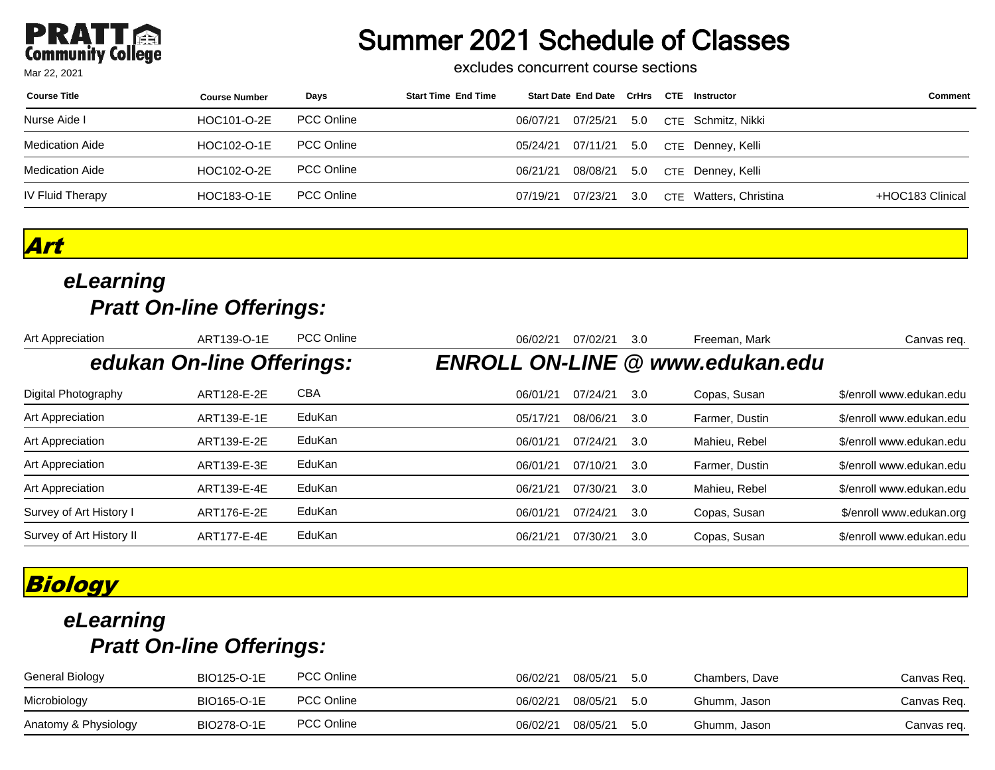### **PRATT**<br>Community College Mar 22, 2021

### Summer 2021 Schedule of Classes

excludes concurrent course sections

| <b>Course Title</b>    | <b>Course Number</b> | Days              | <b>Start Time End Time</b> |          | Start Date End Date CrHrs CTE |     | Instructor             | <b>Comment</b>   |
|------------------------|----------------------|-------------------|----------------------------|----------|-------------------------------|-----|------------------------|------------------|
| Nurse Aide I           | HOC101-O-2E          | <b>PCC Online</b> |                            | 06/07/21 | 07/25/21                      | 5.0 | CTE Schmitz, Nikki     |                  |
| Medication Aide        | HOC102-O-1E          | <b>PCC Online</b> |                            |          | 05/24/21 07/11/21 5.0         |     | CTE Denney, Kelli      |                  |
| <b>Medication Aide</b> | HOC102-O-2E          | <b>PCC Online</b> |                            | 06/21/21 | 08/08/21                      | 5.0 | CTE Denney, Kelli      |                  |
| IV Fluid Therapy       | HOC183-O-1E          | <b>PCC Online</b> |                            | 07/19/21 | 07/23/21                      | 3.0 | CTE Watters, Christina | +HOC183 Clinical |

**Art**

### **eLearning Pratt On-line Offerings:**

| Art Appreciation         | ART139-O-1E               | <b>PCC Online</b> | 06/02/21<br>Freeman, Mark<br>07/02/21<br>3.0  | Canvas reg.              |
|--------------------------|---------------------------|-------------------|-----------------------------------------------|--------------------------|
|                          | edukan On-line Offerings: |                   | <b>ENROLL ON-LINE @ www.edukan.edu</b>        |                          |
| Digital Photography      | ART128-E-2E               | <b>CBA</b>        | 06/01/21<br>07/24/21<br>Copas, Susan<br>3.0   | \$/enroll www.edukan.edu |
| Art Appreciation         | ART139-E-1E               | EduKan            | Farmer, Dustin<br>05/17/21<br>08/06/21<br>3.0 | \$/enroll www.edukan.edu |
| Art Appreciation         | ART139-E-2E               | EduKan            | 06/01/21<br>Mahieu, Rebel<br>07/24/21<br>3.0  | \$/enroll www.edukan.edu |
| Art Appreciation         | ART139-E-3E               | EduKan            | 06/01/21<br>Farmer, Dustin<br>07/10/21<br>3.0 | \$/enroll www.edukan.edu |
| Art Appreciation         | ART139-E-4E               | EduKan            | 06/21/21<br>Mahieu, Rebel<br>07/30/21<br>3.0  | \$/enroll www.edukan.edu |
| Survey of Art History I  | ART176-E-2E               | EduKan            | 06/01/21<br>07/24/21<br>Copas, Susan<br>3.0   | \$/enroll www.edukan.org |
| Survey of Art History II | ART177-E-4E               | EduKan            | Copas, Susan<br>06/21/21<br>3.0<br>07/30/21   | \$/enroll www.edukan.edu |

### **Biology**

| General Biology      | BIO125-O-1E | <b>PCC Online</b> | 06/02/21 | 08/05/21 5.0 | Chambers. Dave | Canvas Req. |
|----------------------|-------------|-------------------|----------|--------------|----------------|-------------|
| Microbiology         | BIO165-O-1E | <b>PCC Online</b> | 06/02/21 | 08/05/21 5.0 | Ghumm, Jason   | Canvas Req. |
| Anatomy & Physiology | BIO278-O-1E | <b>PCC Online</b> | 06/02/21 | 08/05/21 5.0 | Ghumm, Jason   | Canvas req. |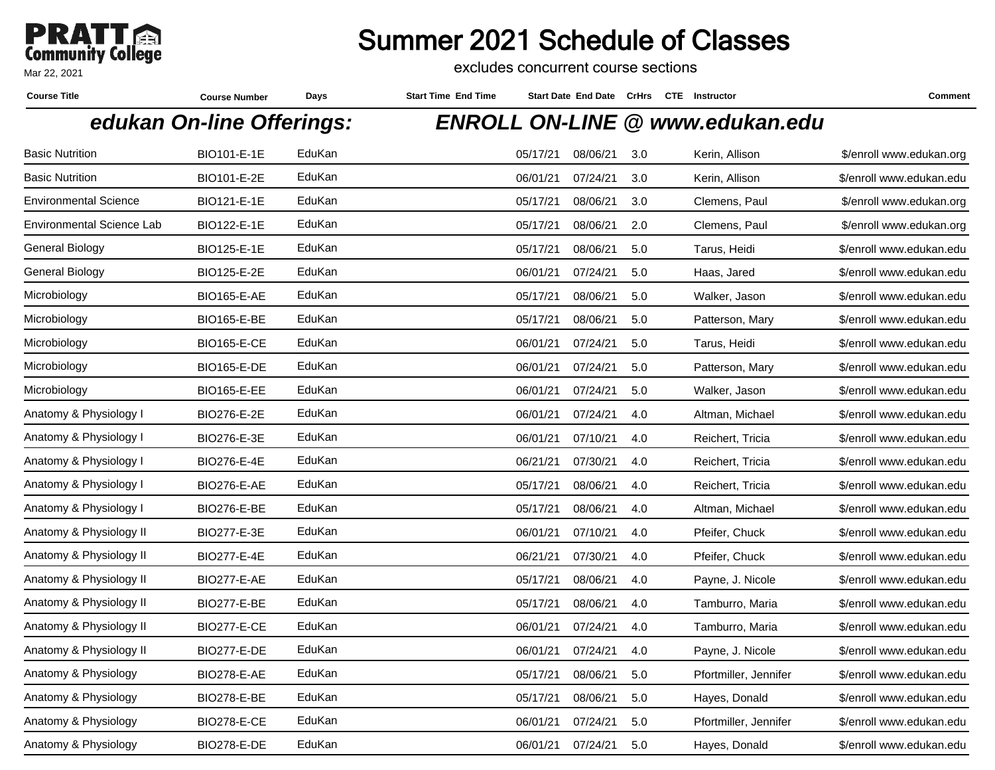

excludes concurrent course sections

| <b>Course Title</b>              | <b>Course Number</b>      | Days   | <b>Start Time End Time</b> |          |          |     | Start Date End Date CrHrs CTE Instructor | Comment                  |
|----------------------------------|---------------------------|--------|----------------------------|----------|----------|-----|------------------------------------------|--------------------------|
|                                  | edukan On-line Offerings: |        |                            |          |          |     | <b>ENROLL ON-LINE @ www.edukan.edu</b>   |                          |
| <b>Basic Nutrition</b>           | BIO101-E-1E               | EduKan |                            | 05/17/21 | 08/06/21 | 3.0 | Kerin, Allison                           | \$/enroll www.edukan.org |
| <b>Basic Nutrition</b>           | BIO101-E-2E               | EduKan |                            | 06/01/21 | 07/24/21 | 3.0 | Kerin, Allison                           | \$/enroll www.edukan.edu |
| <b>Environmental Science</b>     | BIO121-E-1E               | EduKan |                            | 05/17/21 | 08/06/21 | 3.0 | Clemens, Paul                            | \$/enroll www.edukan.org |
| <b>Environmental Science Lab</b> | BIO122-E-1E               | EduKan |                            | 05/17/21 | 08/06/21 | 2.0 | Clemens, Paul                            | \$/enroll www.edukan.org |
| General Biology                  | BIO125-E-1E               | EduKan |                            | 05/17/21 | 08/06/21 | 5.0 | Tarus, Heidi                             | \$/enroll www.edukan.edu |
| General Biology                  | BIO125-E-2E               | EduKan |                            | 06/01/21 | 07/24/21 | 5.0 | Haas, Jared                              | \$/enroll www.edukan.edu |
| Microbiology                     | <b>BIO165-E-AE</b>        | EduKan |                            | 05/17/21 | 08/06/21 | 5.0 | Walker, Jason                            | \$/enroll www.edukan.edu |
| Microbiology                     | <b>BIO165-E-BE</b>        | EduKan |                            | 05/17/21 | 08/06/21 | 5.0 | Patterson, Mary                          | \$/enroll www.edukan.edu |
| Microbiology                     | <b>BIO165-E-CE</b>        | EduKan |                            | 06/01/21 | 07/24/21 | 5.0 | Tarus, Heidi                             | \$/enroll www.edukan.edu |
| Microbiology                     | <b>BIO165-E-DE</b>        | EduKan |                            | 06/01/21 | 07/24/21 | 5.0 | Patterson, Mary                          | \$/enroll www.edukan.edu |
| Microbiology                     | <b>BIO165-E-EE</b>        | EduKan |                            | 06/01/21 | 07/24/21 | 5.0 | Walker, Jason                            | \$/enroll www.edukan.edu |
| Anatomy & Physiology I           | BIO276-E-2E               | EduKan |                            | 06/01/21 | 07/24/21 | 4.0 | Altman, Michael                          | \$/enroll www.edukan.edu |
| Anatomy & Physiology I           | BIO276-E-3E               | EduKan |                            | 06/01/21 | 07/10/21 | 4.0 | Reichert, Tricia                         | \$/enroll www.edukan.edu |
| Anatomy & Physiology I           | BIO276-E-4E               | EduKan |                            | 06/21/21 | 07/30/21 | 4.0 | Reichert, Tricia                         | \$/enroll www.edukan.edu |
| Anatomy & Physiology I           | <b>BIO276-E-AE</b>        | EduKan |                            | 05/17/21 | 08/06/21 | 4.0 | Reichert, Tricia                         | \$/enroll www.edukan.edu |
| Anatomy & Physiology I           | <b>BIO276-E-BE</b>        | EduKan |                            | 05/17/21 | 08/06/21 | 4.0 | Altman, Michael                          | \$/enroll www.edukan.edu |
| Anatomy & Physiology II          | BIO277-E-3E               | EduKan |                            | 06/01/21 | 07/10/21 | 4.0 | Pfeifer, Chuck                           | \$/enroll www.edukan.edu |
| Anatomy & Physiology II          | BIO277-E-4E               | EduKan |                            | 06/21/21 | 07/30/21 | 4.0 | Pfeifer, Chuck                           | \$/enroll www.edukan.edu |
| Anatomy & Physiology II          | <b>BIO277-E-AE</b>        | EduKan |                            | 05/17/21 | 08/06/21 | 4.0 | Payne, J. Nicole                         | \$/enroll www.edukan.edu |
| Anatomy & Physiology II          | BIO277-E-BE               | EduKan |                            | 05/17/21 | 08/06/21 | 4.0 | Tamburro, Maria                          | \$/enroll www.edukan.edu |
| Anatomy & Physiology II          | <b>BIO277-E-CE</b>        | EduKan |                            | 06/01/21 | 07/24/21 | 4.0 | Tamburro, Maria                          | \$/enroll www.edukan.edu |
| Anatomy & Physiology II          | <b>BIO277-E-DE</b>        | EduKan |                            | 06/01/21 | 07/24/21 | 4.0 | Payne, J. Nicole                         | \$/enroll www.edukan.edu |
| Anatomy & Physiology             | <b>BIO278-E-AE</b>        | EduKan |                            | 05/17/21 | 08/06/21 | 5.0 | Pfortmiller, Jennifer                    | \$/enroll www.edukan.edu |
| Anatomy & Physiology             | <b>BIO278-E-BE</b>        | EduKan |                            | 05/17/21 | 08/06/21 | 5.0 | Hayes, Donald                            | \$/enroll www.edukan.edu |
| Anatomy & Physiology             | <b>BIO278-E-CE</b>        | EduKan |                            | 06/01/21 | 07/24/21 | 5.0 | Pfortmiller, Jennifer                    | \$/enroll www.edukan.edu |
| Anatomy & Physiology             | BIO278-E-DE               | EduKan |                            | 06/01/21 | 07/24/21 | 5.0 | Hayes, Donald                            | \$/enroll www.edukan.edu |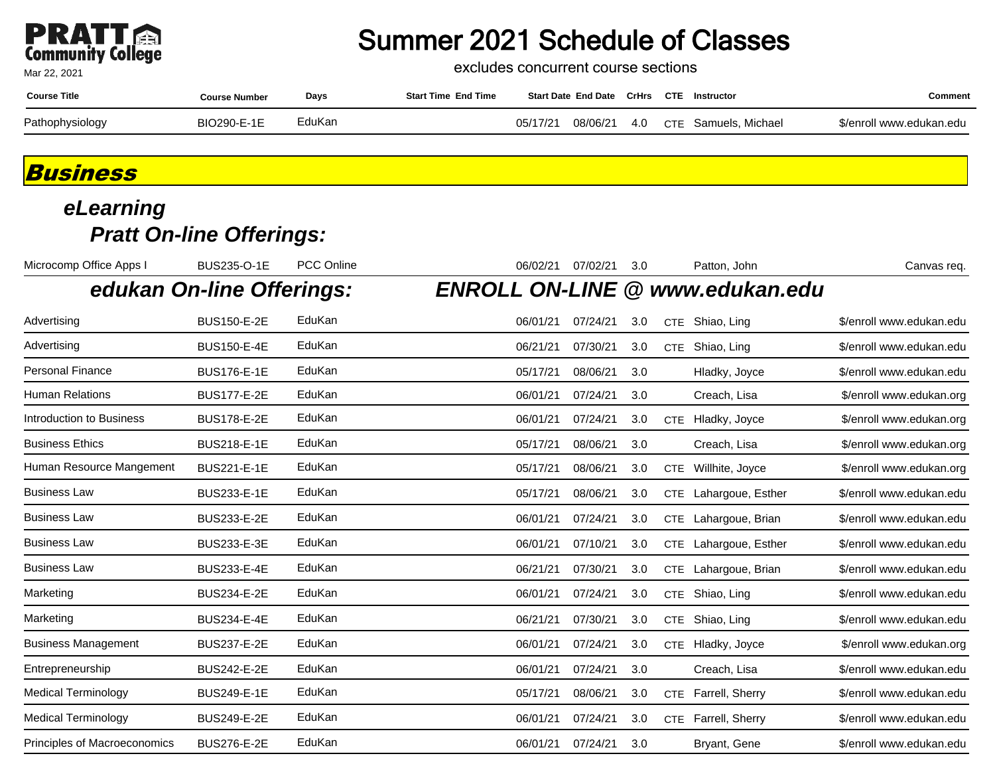### **PRATT**<br>Community College Mar 22, 2021

### Summer 2021 Schedule of Classes

excludes concurrent course sections

| <b>Course Title</b> | Course Number | Days   | <b>Start Time End Time</b> |          | <b>Start Date End Date CrHrs</b> |     | <b>CTE</b> | Instructor       | こomment                  |
|---------------------|---------------|--------|----------------------------|----------|----------------------------------|-----|------------|------------------|--------------------------|
| Pathophysiology     | BIO290-F-1F   | EduKan |                            | 05/17/21 | 08/06/21                         | 4.0 | <b>CTE</b> | Samuels, Michael | \$/enroll www.edukan.edu |

### **Business**

| Microcomp Office Apps I             | BUS235-O-1E               | PCC Online | 06/02/21                | 07/02/21 | 3.0 |            | Patton, John          | Canvas req.              |
|-------------------------------------|---------------------------|------------|-------------------------|----------|-----|------------|-----------------------|--------------------------|
|                                     | edukan On-line Offerings: |            | <b>ENROLL ON-LINE @</b> |          |     |            | www.edukan.edu        |                          |
| Advertising                         | <b>BUS150-E-2E</b>        | EduKan     | 06/01/21                | 07/24/21 | 3.0 |            | CTE Shiao, Ling       | \$/enroll www.edukan.edu |
| Advertising                         | <b>BUS150-E-4E</b>        | EduKan     | 06/21/21                | 07/30/21 | 3.0 |            | CTE Shiao, Ling       | \$/enroll www.edukan.edu |
| <b>Personal Finance</b>             | <b>BUS176-E-1E</b>        | EduKan     | 05/17/21                | 08/06/21 | 3.0 |            | Hladky, Joyce         | \$/enroll www.edukan.edu |
| <b>Human Relations</b>              | <b>BUS177-E-2E</b>        | EduKan     | 06/01/21                | 07/24/21 | 3.0 |            | Creach, Lisa          | \$/enroll www.edukan.org |
| Introduction to Business            | <b>BUS178-E-2E</b>        | EduKan     | 06/01/21                | 07/24/21 | 3.0 | <b>CTE</b> | Hladky, Joyce         | \$/enroll www.edukan.org |
| <b>Business Ethics</b>              | BUS218-E-1E               | EduKan     | 05/17/21                | 08/06/21 | 3.0 |            | Creach, Lisa          | \$/enroll www.edukan.org |
| Human Resource Mangement            | <b>BUS221-E-1E</b>        | EduKan     | 05/17/21                | 08/06/21 | 3.0 |            | CTE Willhite, Joyce   | \$/enroll www.edukan.org |
| <b>Business Law</b>                 | BUS233-E-1E               | EduKan     | 05/17/21                | 08/06/21 | 3.0 |            | CTE Lahargoue, Esther | \$/enroll www.edukan.edu |
| <b>Business Law</b>                 | BUS233-E-2E               | EduKan     | 06/01/21                | 07/24/21 | 3.0 |            | CTE Lahargoue, Brian  | \$/enroll www.edukan.edu |
| <b>Business Law</b>                 | BUS233-E-3E               | EduKan     | 06/01/21                | 07/10/21 | 3.0 |            | CTE Lahargoue, Esther | \$/enroll www.edukan.edu |
| <b>Business Law</b>                 | <b>BUS233-E-4E</b>        | EduKan     | 06/21/21                | 07/30/21 | 3.0 | <b>CTE</b> | Lahargoue, Brian      | \$/enroll www.edukan.edu |
| Marketing                           | <b>BUS234-E-2E</b>        | EduKan     | 06/01/21                | 07/24/21 | 3.0 |            | CTE Shiao, Ling       | \$/enroll www.edukan.edu |
| Marketing                           | <b>BUS234-E-4E</b>        | EduKan     | 06/21/21                | 07/30/21 | 3.0 | <b>CTE</b> | Shiao, Ling           | \$/enroll www.edukan.edu |
| <b>Business Management</b>          | <b>BUS237-E-2E</b>        | EduKan     | 06/01/21                | 07/24/21 | 3.0 | <b>CTE</b> | Hladky, Joyce         | \$/enroll www.edukan.org |
| Entrepreneurship                    | <b>BUS242-E-2E</b>        | EduKan     | 06/01/21                | 07/24/21 | 3.0 |            | Creach, Lisa          | \$/enroll www.edukan.edu |
| <b>Medical Terminology</b>          | BUS249-E-1E               | EduKan     | 05/17/21                | 08/06/21 | 3.0 | <b>CTE</b> | Farrell, Sherry       | \$/enroll www.edukan.edu |
| <b>Medical Terminology</b>          | <b>BUS249-E-2E</b>        | EduKan     | 06/01/21                | 07/24/21 | 3.0 | <b>CTE</b> | Farrell, Sherry       | \$/enroll www.edukan.edu |
| <b>Principles of Macroeconomics</b> | <b>BUS276-E-2E</b>        | EduKan     | 06/01/21                | 07/24/21 | 3.0 |            | Bryant, Gene          | \$/enroll www.edukan.edu |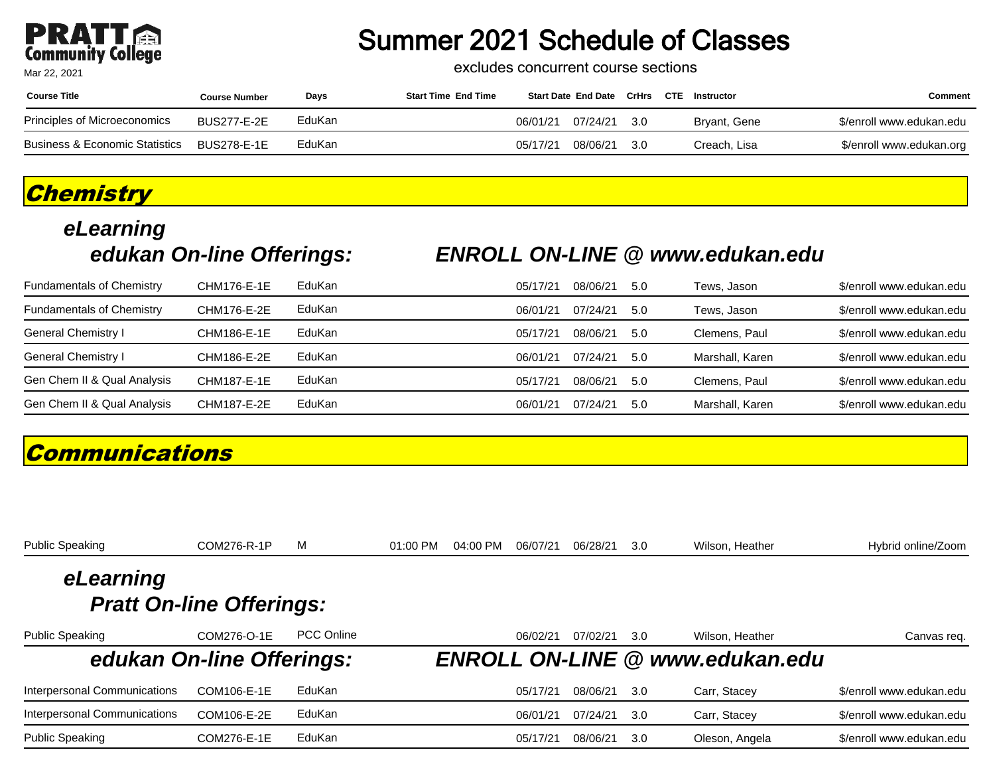## **PRATT**<br>Community College

Mar 22, 2021

### Summer 2021 Schedule of Classes

excludes concurrent course sections

| <b>Course Title</b>            | <b>Course Number</b> | Days   | <b>Start Time End Time</b> |          | Start Date End Date CrHrs CTE |      | Instructor   | Comment                  |
|--------------------------------|----------------------|--------|----------------------------|----------|-------------------------------|------|--------------|--------------------------|
| Principles of Microeconomics   | <b>BUS277-E-2E</b>   | EduKan |                            | 06/01/21 | 07/24/21                      | -3.0 | Bryant, Gene | \$/enroll www.edukan.edu |
| Business & Economic Statistics | BUS278-E-1E          | EduKan |                            | 05/17/21 | 08/06/21                      | -3.0 | Creach. Lisa | \$/enroll www.edukan.org |

### **Chemistry**

# **eLearning**

### **edukan On-line Offerings: ENROLL ON-LINE @ www.edukan.edu**

| <b>Fundamentals of Chemistry</b> | CHM176-E-1E | EduKan | 05/17/21 | 08/06/21 | 5.0  | Tews. Jason     | \$/enroll www.edukan.edu |
|----------------------------------|-------------|--------|----------|----------|------|-----------------|--------------------------|
| <b>Fundamentals of Chemistry</b> | CHM176-E-2E | EduKan | 06/01/21 | 07/24/21 | .5.0 | Tews, Jason     | \$/enroll www.edukan.edu |
| General Chemistry I              | CHM186-E-1E | EduKan | 05/17/21 | 08/06/21 | 5.0  | Clemens, Paul   | \$/enroll www.edukan.edu |
| General Chemistry I              | CHM186-E-2E | EduKan | 06/01/21 | 07/24/21 | .5.0 | Marshall, Karen | \$/enroll www.edukan.edu |
| Gen Chem II & Qual Analysis      | CHM187-E-1E | EduKan | 05/17/21 | 08/06/21 | 5.0  | Clemens, Paul   | \$/enroll www.edukan.edu |
| Gen Chem II & Qual Analysis      | CHM187-E-2E | EduKan | 06/01/21 | 07/24/21 | 5.0  | Marshall, Karen | \$/enroll www.edukan.edu |

### **Communications**

| <b>Public Speaking</b>       | COM276-R-1P                     | м          | $01:00$ PM | 04:00 PM | 06/07/21 | 06/28/21 | 3.0 | Wilson, Heather                        | Hybrid online/Zoom       |
|------------------------------|---------------------------------|------------|------------|----------|----------|----------|-----|----------------------------------------|--------------------------|
| eLearning                    |                                 |            |            |          |          |          |     |                                        |                          |
|                              | <b>Pratt On-line Offerings:</b> |            |            |          |          |          |     |                                        |                          |
| <b>Public Speaking</b>       | COM276-O-1E                     | PCC Online |            |          | 06/02/21 | 07/02/21 | 3.0 | Wilson, Heather                        | Canvas req.              |
| edukan On-line Offerings:    |                                 |            |            |          |          |          |     | <b>ENROLL ON-LINE @ www.edukan.edu</b> |                          |
| Interpersonal Communications | COM106-E-1E                     | EduKan     |            |          | 05/17/21 | 08/06/21 | 3.0 | Carr, Stacey                           | \$/enroll www.edukan.edu |
| Interpersonal Communications | COM106-E-2E                     | EduKan     |            |          | 06/01/21 | 07/24/21 | 3.0 | Carr, Stacey                           | \$/enroll www.edukan.edu |
| <b>Public Speaking</b>       | COM276-E-1E                     | EduKan     |            |          | 05/17/21 | 08/06/21 | 3.0 | Oleson, Angela                         | \$/enroll www.edukan.edu |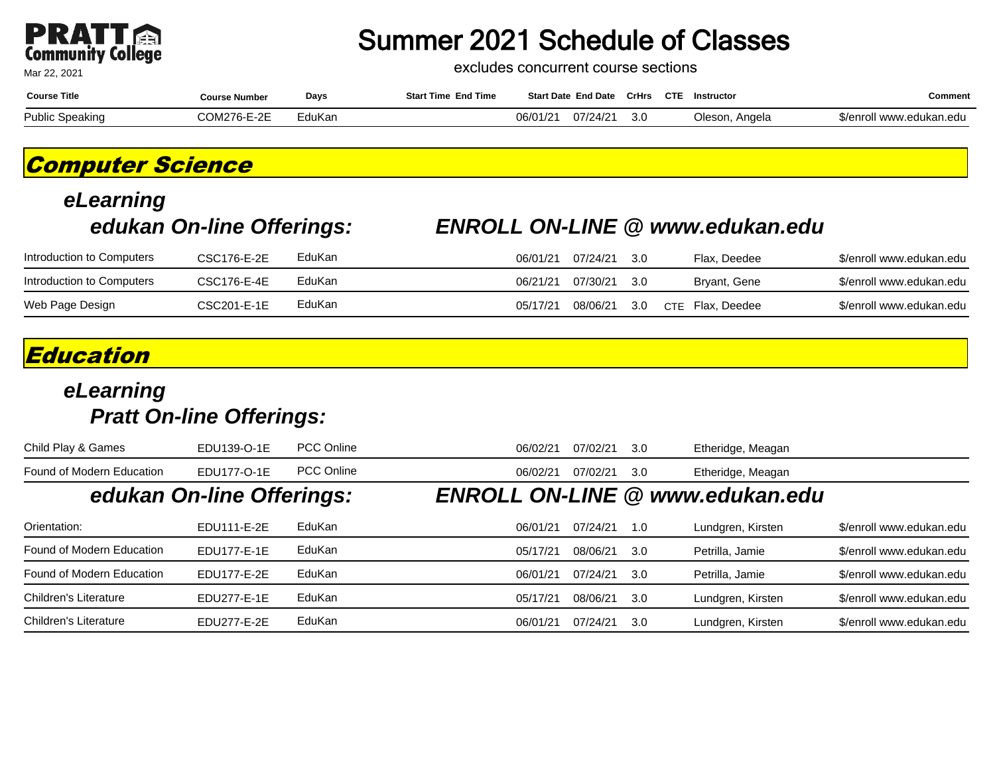

excludes concurrent course sections

| <b>Course Title</b>    | Course Number                          | Days   | <b>End Time</b><br>t Time<br>Start | <b>Start Date End Date</b> | CrHrs | <b>CTE</b><br>Instructor | Comment                          |
|------------------------|----------------------------------------|--------|------------------------------------|----------------------------|-------|--------------------------|----------------------------------|
| <b>Public Speaking</b> | COMOZE E QE<br>/ h-H-2<br><b>JUNIZ</b> | EduKan | 20/24<br>$\sim$<br>J6/U            | 27/210<br><i>глат</i>      | 3.0   | Oleson.<br>Angela        | /enroll<br>l www.edukan<br>າ.edເ |

### **Computer Science**

## **eLearning**

#### **edukan On-line Offerings: ENROLL ON-LINE @ www.edukan.edu**

| Introduction to Computers | CSC176-E-2E | EduKan | 06/01/21 | 07/24/21 | - 30  | Flax, Deedee     | \$/enroll www.edukan.edu |
|---------------------------|-------------|--------|----------|----------|-------|------------------|--------------------------|
| Introduction to Computers | CSC176-E-4E | EduKan | 06/21/21 | 07/30/21 | - 3.0 | Bryant, Gene     | \$/enroll www.edukan.edu |
| Web Page Design           | CSC201-E-1E | EduKan | 05/17/21 | 08/06/21 | 3.0   | CTE Flax. Deedee | \$/enroll www.edukan.edu |

### **Education**

#### **eLearning Pratt On-line Offerings:**

| Child Play & Games        | EDU139-O-1E               | <b>PCC Online</b> | 06/02/21 | 07/02/21 | 3.0 | Etheridge, Meagan                      |                          |
|---------------------------|---------------------------|-------------------|----------|----------|-----|----------------------------------------|--------------------------|
| Found of Modern Education | EDU177-O-1E               | <b>PCC Online</b> | 06/02/21 | 07/02/21 | 3.0 | Etheridge, Meagan                      |                          |
|                           | edukan On-line Offerings: |                   |          |          |     | <b>ENROLL ON-LINE @ www.edukan.edu</b> |                          |
| Orientation:              | EDU111-E-2E               | EduKan            | 06/01/21 | 07/24/21 | 1.0 | Lundgren, Kirsten                      | \$/enroll www.edukan.edu |
| Found of Modern Education | EDU177-E-1E               | EduKan            | 05/17/21 | 08/06/21 | 3.0 | Petrilla, Jamie                        | \$/enroll www.edukan.edu |
| Found of Modern Education | EDU177-E-2E               | EduKan            | 06/01/21 | 07/24/21 | 3.0 | Petrilla, Jamie                        | \$/enroll www.edukan.edu |
| Children's Literature     | EDU277-E-1E               | EduKan            | 05/17/21 | 08/06/21 | 3.0 | Lundgren, Kirsten                      | \$/enroll www.edukan.edu |
| Children's Literature     | EDU277-E-2E               | EduKan            | 06/01/21 | 07/24/21 | 3.0 | Lundgren, Kirsten                      | \$/enroll www.edukan.edu |

Mar 22, 2021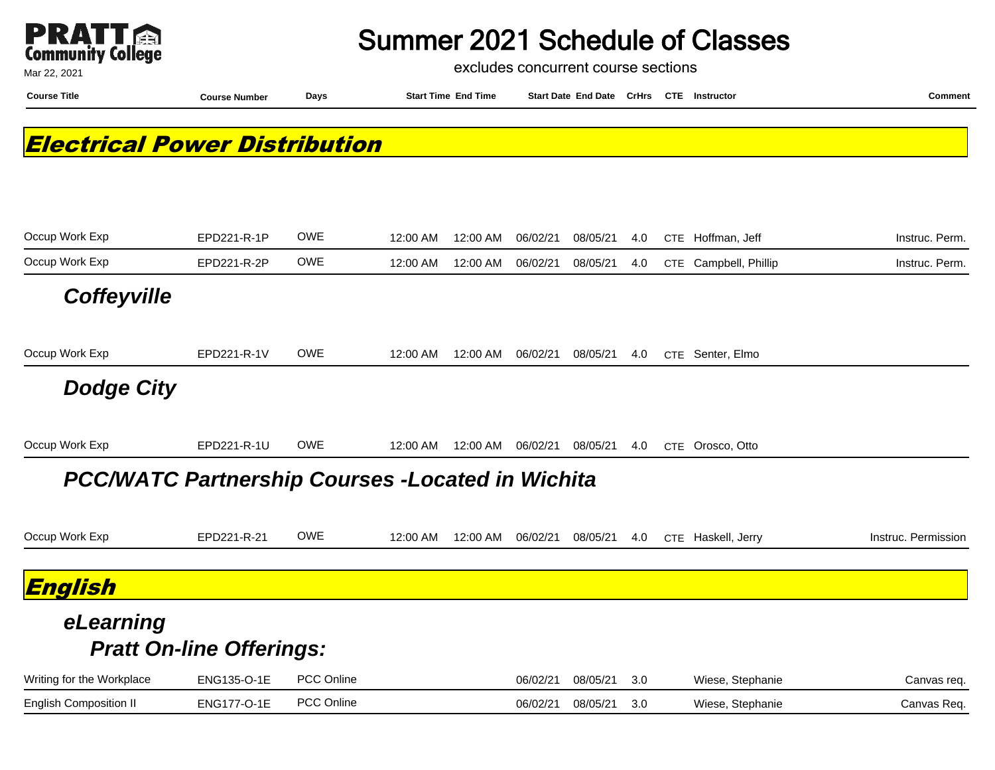

excludes concurrent course sections

**Course Title Course Number Days Start Time End Time Start Date End Date CrHrs Instructor Comment CTE**

### **Electrical Power Distribution**

| Occup Work Exp                | EPD221-R-1P                                             | <b>OWE</b> | 12:00 AM | 12:00 AM | 06/02/21 | 08/05/21 | 4.0 | <b>CTE</b> | Hoffman, Jeff     | Instruc. Perm.      |
|-------------------------------|---------------------------------------------------------|------------|----------|----------|----------|----------|-----|------------|-------------------|---------------------|
| Occup Work Exp                | EPD221-R-2P                                             | <b>OWE</b> | 12:00 AM | 12:00 AM | 06/02/21 | 08/05/21 | 4.0 | <b>CTE</b> | Campbell, Phillip | Instruc. Perm.      |
| <b>Coffeyville</b>            |                                                         |            |          |          |          |          |     |            |                   |                     |
| Occup Work Exp                | EPD221-R-1V                                             | <b>OWE</b> | 12:00 AM | 12:00 AM | 06/02/21 | 08/05/21 | 4.0 |            | CTE Senter, Elmo  |                     |
| <b>Dodge City</b>             |                                                         |            |          |          |          |          |     |            |                   |                     |
| Occup Work Exp                | EPD221-R-1U                                             | <b>OWE</b> | 12:00 AM | 12:00 AM | 06/02/21 | 08/05/21 | 4.0 | <b>CTE</b> | Orosco, Otto      |                     |
|                               | <b>PCC/WATC Partnership Courses -Located in Wichita</b> |            |          |          |          |          |     |            |                   |                     |
| Occup Work Exp                | EPD221-R-21                                             | <b>OWE</b> | 12:00 AM | 12:00 AM | 06/02/21 | 08/05/21 | 4.0 | <b>CTE</b> | Haskell, Jerry    | Instruc. Permission |
| English                       |                                                         |            |          |          |          |          |     |            |                   |                     |
| eLearning                     | <b>Pratt On-line Offerings:</b>                         |            |          |          |          |          |     |            |                   |                     |
| Writing for the Workplace     | ENG135-O-1E                                             | PCC Online |          |          | 06/02/21 | 08/05/21 | 3.0 |            | Wiese, Stephanie  | Canvas req.         |
| <b>English Composition II</b> | <b>ENG177-O-1E</b>                                      | PCC Online |          |          | 06/02/21 | 08/05/21 | 3.0 |            | Wiese, Stephanie  | Canvas Req.         |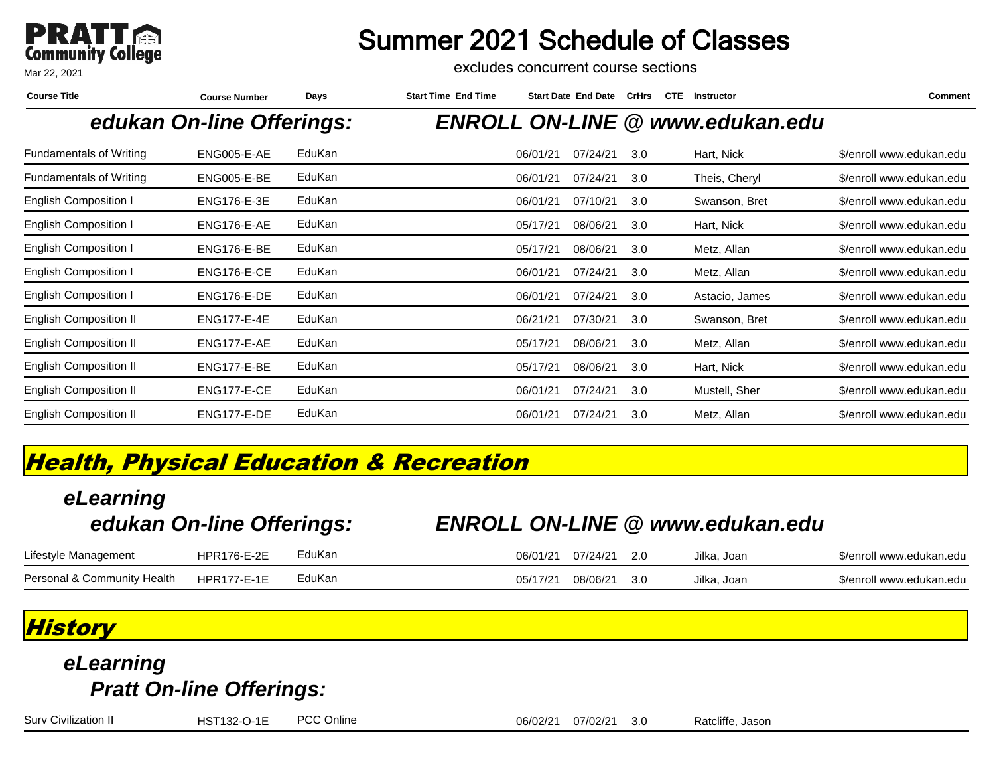

excludes concurrent course sections

| <b>Course Number</b> | Days   | <b>Start Time End Time</b> |          |          |                            | <b>CTE</b> | Instructor     | Comment                                |
|----------------------|--------|----------------------------|----------|----------|----------------------------|------------|----------------|----------------------------------------|
|                      |        |                            |          |          |                            |            |                |                                        |
| ENG005-E-AE          | EduKan |                            | 06/01/21 | 07/24/21 | 3.0                        |            | Hart, Nick     | \$/enroll www.edukan.edu               |
| ENG005-E-BE          | EduKan |                            | 06/01/21 | 07/24/21 | 3.0                        |            | Theis, Cheryl  | \$/enroll www.edukan.edu               |
| <b>ENG176-E-3E</b>   | EduKan |                            | 06/01/21 | 07/10/21 | 3.0                        |            | Swanson, Bret  | \$/enroll www.edukan.edu               |
| ENG176-E-AE          | EduKan |                            | 05/17/21 | 08/06/21 | 3.0                        |            | Hart, Nick     | \$/enroll www.edukan.edu               |
| ENG176-E-BE          | EduKan |                            | 05/17/21 | 08/06/21 | 3.0                        |            | Metz, Allan    | \$/enroll www.edukan.edu               |
| ENG176-E-CE          | EduKan |                            | 06/01/21 | 07/24/21 | 3.0                        |            | Metz, Allan    | \$/enroll www.edukan.edu               |
| ENG176-E-DE          | EduKan |                            | 06/01/21 | 07/24/21 | 3.0                        |            | Astacio, James | \$/enroll www.edukan.edu               |
| <b>ENG177-E-4E</b>   | EduKan |                            | 06/21/21 | 07/30/21 | 3.0                        |            | Swanson, Bret  | \$/enroll www.edukan.edu               |
| ENG177-E-AE          | EduKan |                            | 05/17/21 | 08/06/21 | 3.0                        |            | Metz, Allan    | \$/enroll www.edukan.edu               |
| ENG177-E-BE          | EduKan |                            | 05/17/21 | 08/06/21 | 3.0                        |            | Hart, Nick     | \$/enroll www.edukan.edu               |
| ENG177-E-CE          | EduKan |                            | 06/01/21 | 07/24/21 | 3.0                        |            | Mustell, Sher  | \$/enroll www.edukan.edu               |
| ENG177-E-DE          | EduKan |                            | 06/01/21 | 07/24/21 | 3.0                        |            | Metz, Allan    | \$/enroll www.edukan.edu               |
|                      |        | edukan On-line Offerings:  |          |          | <b>Start Date End Date</b> |            | CrHrs          | <b>ENROLL ON-LINE @ www.edukan.edu</b> |

### **Health, Physical Education & Recreation**

### **eLearning edukan On-line Offerings: ENROLL ON-LINE @ www.edukan.edu** Lifestyle Management HPR176-E-2E EduKan and the D6/01/21 07/24/21 2.0 Jilka, Joan \$/enroll www.edukan.edu Personal & Community Health HPR177-E-1E EduKan and the Community Health HPR177-E-1E EduKan edu

### **History**

### **eLearning Pratt On-line Offerings:**

Surv Civilization II **HST132-O-1E** PCC Online **1996** POC 20221 07/02/21 3.0 Ratcliffe, Jason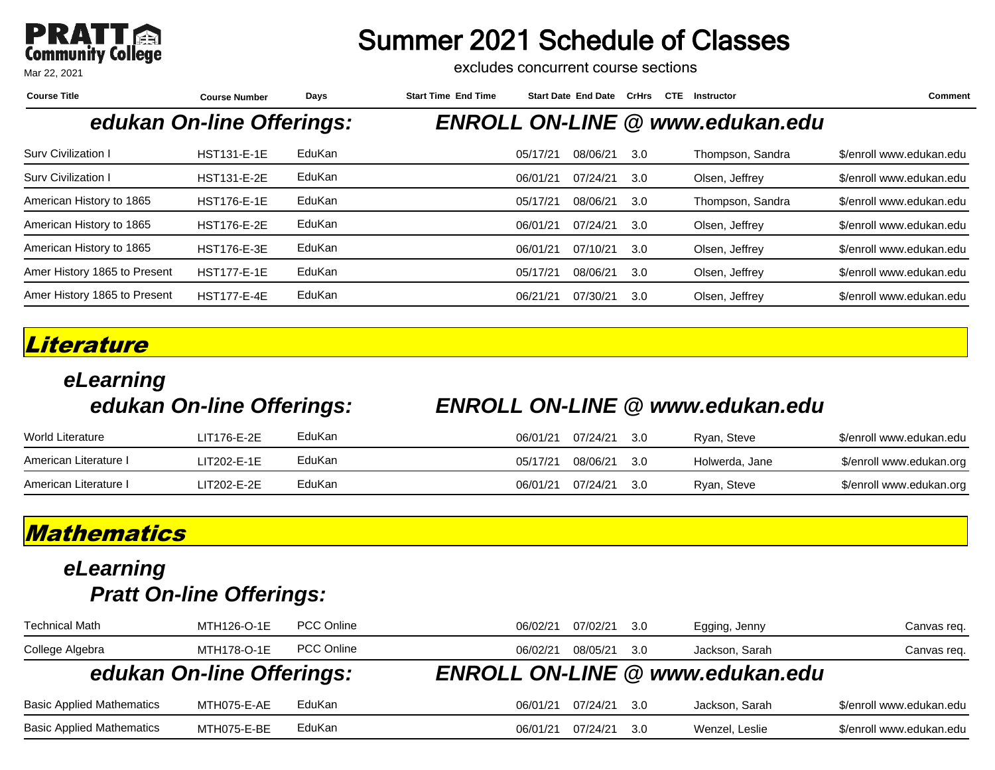

excludes concurrent course sections

| <b>Course Title</b>          | <b>Course Number</b>      | Days   | <b>Start Time End Time</b> |          | <b>Start Date End Date</b> | <b>CrHrs</b> | <b>CTE</b> | Instructor                             | Comment                  |
|------------------------------|---------------------------|--------|----------------------------|----------|----------------------------|--------------|------------|----------------------------------------|--------------------------|
|                              | edukan On-line Offerings: |        |                            |          |                            |              |            | <b>ENROLL ON-LINE @ www.edukan.edu</b> |                          |
| Surv Civilization I          | <b>HST131-E-1E</b>        | EduKan |                            | 05/17/21 | 08/06/21                   | 3.0          |            | Thompson, Sandra                       | \$/enroll www.edukan.edu |
| Surv Civilization I          | <b>HST131-E-2E</b>        | EduKan |                            | 06/01/21 | 07/24/21                   | 3.0          |            | Olsen, Jeffrey                         | \$/enroll www.edukan.edu |
| American History to 1865     | <b>HST176-E-1E</b>        | EduKan |                            | 05/17/21 | 08/06/21                   | 3.0          |            | Thompson, Sandra                       | \$/enroll www.edukan.edu |
| American History to 1865     | <b>HST176-E-2E</b>        | EduKan |                            | 06/01/21 | 07/24/21                   | 3.0          |            | Olsen, Jeffrey                         | \$/enroll www.edukan.edu |
| American History to 1865     | <b>HST176-E-3E</b>        | EduKan |                            | 06/01/21 | 07/10/21                   | 3.0          |            | Olsen, Jeffrey                         | \$/enroll www.edukan.edu |
| Amer History 1865 to Present | <b>HST177-E-1E</b>        | EduKan |                            | 05/17/21 | 08/06/21                   | 3.0          |            | Olsen, Jeffrey                         | \$/enroll www.edukan.edu |
| Amer History 1865 to Present | <b>HST177-E-4E</b>        | EduKan |                            | 06/21/21 | 07/30/21                   | 3.0          |            | Olsen, Jeffrey                         | \$/enroll www.edukan.edu |

#### **Literature**

## **eLearning**

#### **edukan On-line Offerings: ENROLL ON-LINE @ www.edukan.edu**

| <b>World Literature</b> | LIT176-E-2E | EduKan | 06/01/21 | 07/24/21 | - 3.0         | Ryan, Steve    | \$/enroll www.edukan.edu |
|-------------------------|-------------|--------|----------|----------|---------------|----------------|--------------------------|
| American Literature I   | LIT202-E-1E | EduKan | 05/17/21 | 08/06/21 | $\mathbf{30}$ | Holwerda, Jane | \$/enroll www.edukan.org |
| American Literature I   | LIT202-E-2E | EduKan | 06/01/21 | 07/24/21 | - 3 Q         | Ryan, Steve    | \$/enroll www.edukan.org |

### **Mathematics**

| Technical Math                   | MTH126-O-1E               | <b>PCC Online</b> | 06/02/21 | 07/02/21 | 3.0  | Egging, Jenny                          | Canvas req.              |
|----------------------------------|---------------------------|-------------------|----------|----------|------|----------------------------------------|--------------------------|
| College Algebra                  | MTH178-O-1E               | <b>PCC Online</b> | 06/02/21 | 08/05/21 | 3.0  | Jackson, Sarah                         | Canvas req.              |
|                                  | edukan On-line Offerings: |                   |          |          |      | <b>ENROLL ON-LINE @ www.edukan.edu</b> |                          |
| <b>Basic Applied Mathematics</b> | MTH075-E-AE               | EduKan            | 06/01/21 | 07/24/21 | -3.0 | Jackson, Sarah                         | \$/enroll www.edukan.edu |
| <b>Basic Applied Mathematics</b> | MTH075-E-BE               | EduKan            | 06/01/21 | 07/24/21 | .3.O | Wenzel, Leslie                         | \$/enroll www.edukan.edu |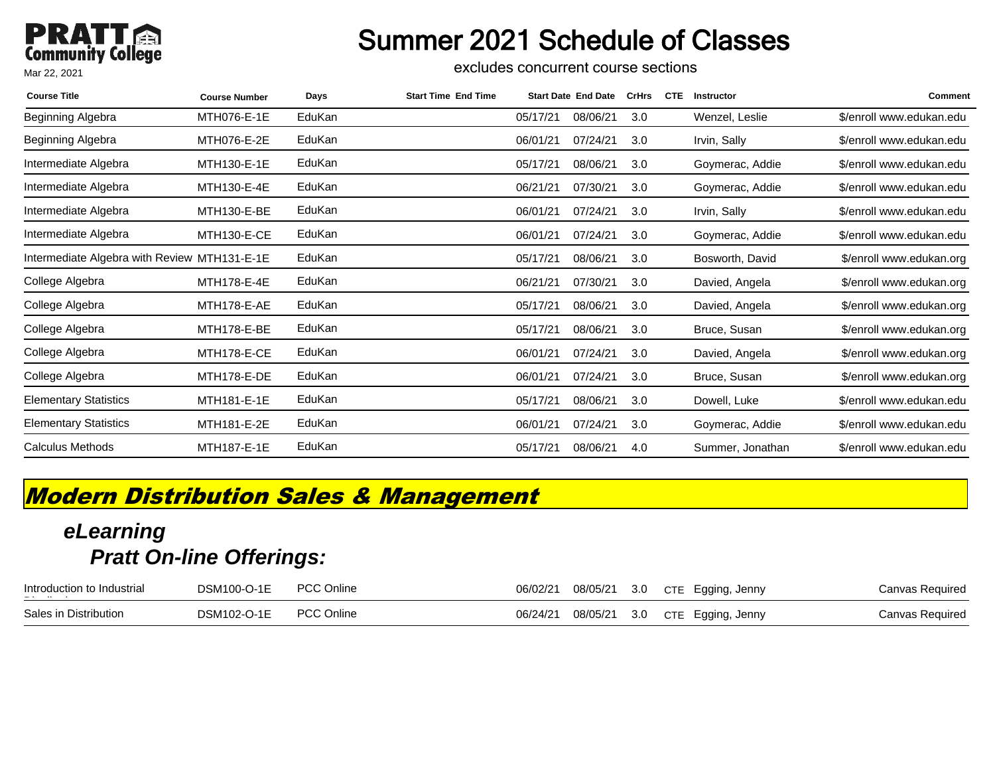### **PRATT**<br>Community College Mar 22, 2021

### Summer 2021 Schedule of Classes

excludes concurrent course sections

| <b>Course Title</b>                          | <b>Course Number</b> | Days   | <b>Start Time End Time</b> |          | <b>Start Date End Date</b> | <b>CrHrs</b> | <b>CTE</b> | <b>Instructor</b> | Comment                  |
|----------------------------------------------|----------------------|--------|----------------------------|----------|----------------------------|--------------|------------|-------------------|--------------------------|
| Beginning Algebra                            | MTH076-E-1E          | EduKan |                            | 05/17/21 | 08/06/21                   | 3.0          |            | Wenzel, Leslie    | \$/enroll www.edukan.edu |
| Beginning Algebra                            | MTH076-E-2E          | EduKan |                            | 06/01/21 | 07/24/21                   | 3.0          |            | Irvin, Sally      | \$/enroll www.edukan.edu |
| Intermediate Algebra                         | MTH130-E-1E          | EduKan |                            | 05/17/21 | 08/06/21                   | 3.0          |            | Goymerac, Addie   | \$/enroll www.edukan.edu |
| Intermediate Algebra                         | MTH130-E-4E          | EduKan |                            | 06/21/21 | 07/30/21                   | 3.0          |            | Goymerac, Addie   | \$/enroll www.edukan.edu |
| Intermediate Algebra                         | MTH130-E-BE          | EduKan |                            | 06/01/21 | 07/24/21                   | 3.0          |            | Irvin, Sally      | \$/enroll www.edukan.edu |
| Intermediate Algebra                         | MTH130-E-CE          | EduKan |                            | 06/01/21 | 07/24/21                   | 3.0          |            | Goymerac, Addie   | \$/enroll www.edukan.edu |
| Intermediate Algebra with Review MTH131-E-1E |                      | EduKan |                            | 05/17/21 | 08/06/21                   | 3.0          |            | Bosworth, David   | \$/enroll www.edukan.org |
| College Algebra                              | MTH178-E-4E          | EduKan |                            | 06/21/21 | 07/30/21                   | 3.0          |            | Davied, Angela    | \$/enroll www.edukan.org |
| College Algebra                              | MTH178-E-AE          | EduKan |                            | 05/17/21 | 08/06/21                   | 3.0          |            | Davied, Angela    | \$/enroll www.edukan.org |
| College Algebra                              | MTH178-E-BE          | EduKan |                            | 05/17/21 | 08/06/21                   | 3.0          |            | Bruce, Susan      | \$/enroll www.edukan.org |
| College Algebra                              | MTH178-E-CE          | EduKan |                            | 06/01/21 | 07/24/21                   | 3.0          |            | Davied, Angela    | \$/enroll www.edukan.org |
| College Algebra                              | MTH178-E-DE          | EduKan |                            | 06/01/21 | 07/24/21                   | 3.0          |            | Bruce, Susan      | \$/enroll www.edukan.org |
| <b>Elementary Statistics</b>                 | MTH181-E-1E          | EduKan |                            | 05/17/21 | 08/06/21                   | 3.0          |            | Dowell, Luke      | \$/enroll www.edukan.edu |
| <b>Elementary Statistics</b>                 | MTH181-E-2E          | EduKan |                            | 06/01/21 | 07/24/21                   | 3.0          |            | Goymerac, Addie   | \$/enroll www.edukan.edu |
| <b>Calculus Methods</b>                      | MTH187-E-1E          | EduKan |                            | 05/17/21 | 08/06/21                   | 4.0          |            | Summer, Jonathan  | \$/enroll www.edukan.edu |

### **Modern Distribution Sales & Management**

| Introduction to Industrial<br>$     -$ | <b>DSM100-O-1E</b> | <b>PCC Online</b> | 06/02/21 | 08/05/21 | 3.0 | CTE Egging, Jenny | Canvas Required |
|----------------------------------------|--------------------|-------------------|----------|----------|-----|-------------------|-----------------|
| Sales in Distribution                  | DSM102-O-1E        | <b>PCC Online</b> | 06/24/21 | 08/05/21 | 3.0 | CTE Egging, Jenny | Canvas Required |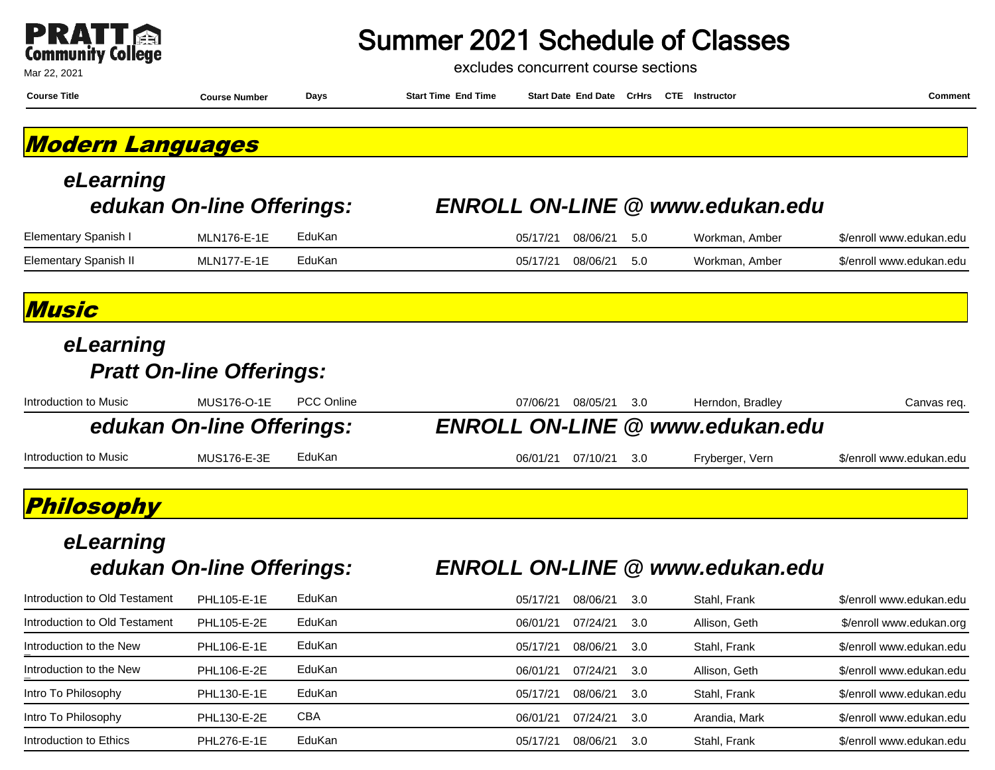|                          | $\blacksquare$ |
|--------------------------|----------------|
| <b>Community College</b> |                |

Mar 22, 2021

### Summer 2021 Schedule of Classes

excludes concurrent course sections

| <b>Course Title</b>           | <b>Course Number</b>            | Days              | <b>Start Time End Time</b> | Start Date End Date CrHrs CTE Instructor |     |                                        | <b>Comment</b>           |
|-------------------------------|---------------------------------|-------------------|----------------------------|------------------------------------------|-----|----------------------------------------|--------------------------|
| <b>Modern Languages</b>       |                                 |                   |                            |                                          |     |                                        |                          |
| eLearning                     |                                 |                   |                            |                                          |     |                                        |                          |
|                               | edukan On-line Offerings:       |                   |                            |                                          |     | <b>ENROLL ON-LINE @ www.edukan.edu</b> |                          |
| Elementary Spanish I          | <b>MLN176-E-1E</b>              | EduKan            |                            | 05/17/21<br>08/06/21                     | 5.0 | Workman, Amber                         | \$/enroll www.edukan.edu |
| <b>Elementary Spanish II</b>  | <b>MLN177-E-1E</b>              | EduKan            |                            | 05/17/21<br>08/06/21                     | 5.0 | Workman, Amber                         | \$/enroll www.edukan.edu |
| Music                         |                                 |                   |                            |                                          |     |                                        |                          |
| eLearning                     |                                 |                   |                            |                                          |     |                                        |                          |
|                               | <b>Pratt On-line Offerings:</b> |                   |                            |                                          |     |                                        |                          |
| Introduction to Music         | <b>MUS176-O-1E</b>              | <b>PCC Online</b> |                            | 07/06/21<br>08/05/21                     | 3.0 | Herndon, Bradley                       | Canvas req.              |
|                               | edukan On-line Offerings:       |                   |                            | <b>ENROLL ON-LINE</b>                    |     | @ www.edukan.edu                       |                          |
| Introduction to Music         | <b>MUS176-E-3E</b>              | EduKan            |                            | 06/01/21<br>07/10/21                     | 3.0 | Fryberger, Vern                        | \$/enroll www.edukan.edu |
| Philosophy                    |                                 |                   |                            |                                          |     |                                        |                          |
| eLearning                     |                                 |                   |                            |                                          |     |                                        |                          |
|                               | edukan On-line Offerings:       |                   |                            |                                          |     | <b>ENROLL ON-LINE @ www.edukan.edu</b> |                          |
| Introduction to Old Testament | PHL105-E-1E                     | EduKan            |                            | 05/17/21<br>08/06/21                     | 3.0 | Stahl, Frank                           | \$/enroll www.edukan.edu |
| Introduction to Old Testament | PHL105-E-2E                     | EduKan            |                            | 06/01/21<br>07/24/21                     | 3.0 | Allison, Geth                          | \$/enroll www.edukan.org |
| Introduction to the New       | PHL106-E-1E                     | EduKan            |                            | 05/17/21<br>08/06/21                     | 3.0 | Stahl, Frank                           | \$/enroll www.edukan.edu |
| Introduction to the New       | PHL106-E-2E                     | EduKan            |                            | 06/01/21<br>07/24/21                     | 3.0 | Allison, Geth                          | \$/enroll www.edukan.edu |
| Intro To Philosophy           | PHL130-E-1E                     | EduKan            |                            | 05/17/21<br>08/06/21                     | 3.0 | Stahl, Frank                           | \$/enroll www.edukan.edu |
| Intro To Philosophy           | PHL130-E-2E                     | CBA               |                            | 06/01/21<br>07/24/21                     | 3.0 | Arandia, Mark                          | \$/enroll www.edukan.edu |

Introduction to Ethics **PHL276-E-1E** EduKan **COM** 21 205/17/21 08/06/21 3.0 Stahl, Frank \$/enroll www.edukan.edu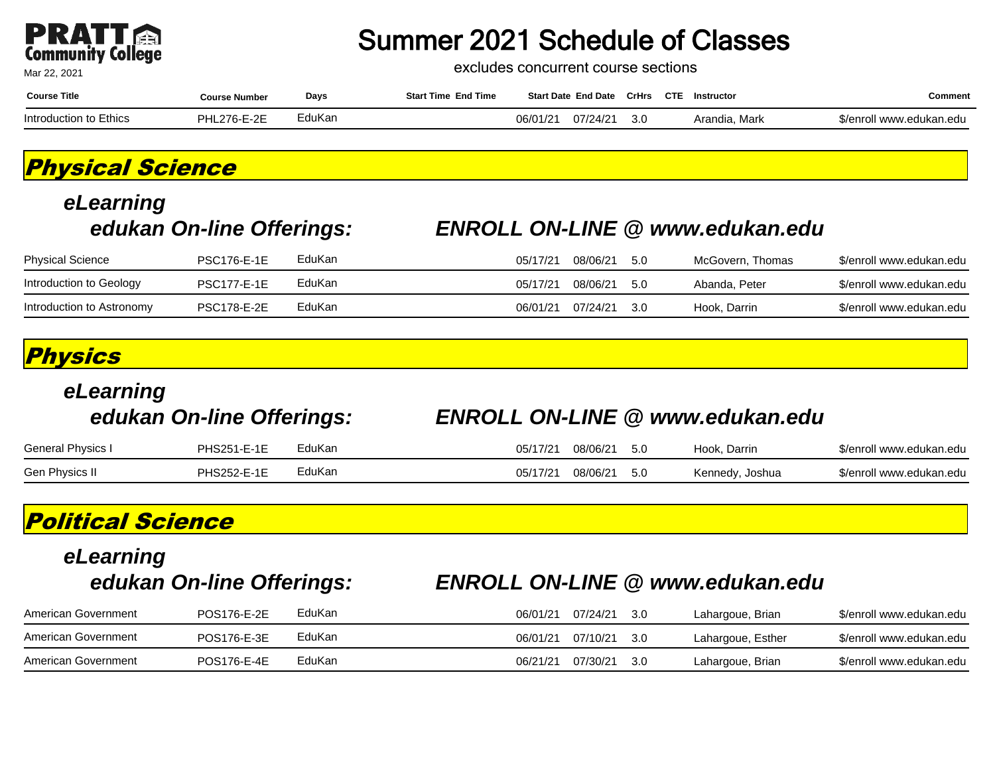

excludes concurrent course sections

| <b>Course Title</b>    | <b>Course Number</b> | Days   | <b>Start Time End Time</b> |         | <b>Start Date End Date</b> | <b>CrHrs</b> | <b>CTE</b> | Instructor       | こomment                      |
|------------------------|----------------------|--------|----------------------------|---------|----------------------------|--------------|------------|------------------|------------------------------|
| Introduction to Ethics | ∟276-E-2E            | EduKan |                            | 06/01/2 | 07/24/21                   | 3.C          |            | Mark<br>Arandia. | ∵enro.<br>oll www.edukan.edu |

### **Physical Science**

# **eLearning**

#### **edukan On-line Offerings: ENROLL ON-LINE @ www.edukan.edu**

| <b>Physical Science</b>   | <b>PSC176-E-1E</b> | EduKan | 05/17/21 | 08/06/21 | -5.0 | McGovern. Thomas | \$/enroll www.edukan.edu |
|---------------------------|--------------------|--------|----------|----------|------|------------------|--------------------------|
| Introduction to Geology   | <b>PSC177-E-1E</b> | EduKan | 05/17/21 | 08/06/21 | -50  | Abanda, Peter    | \$/enroll www.edukan.edu |
| Introduction to Astronomy | <b>PSC178-E-2E</b> | EduKan | 06/01/21 | 07/24/21 | -30  | Hook. Darrin     | \$/enroll www.edukan.edu |

#### **Physics**

| eLearning         | edukan On-line Offerings: |        |          |                  | <b>ENROLL ON-LINE @ www.edukan.edu</b> |                          |
|-------------------|---------------------------|--------|----------|------------------|----------------------------------------|--------------------------|
| General Physics I | <b>PHS251-E-1E</b>        | EduKan | 05/17/21 | 08/06/21<br>-5.0 | Hook, Darrin                           | \$/enroll www.edukan.edu |
| Gen Physics II    | <b>PHS252-E-1E</b>        | EduKan | 05/17/21 | 08/06/21<br>5.0  | Kennedy, Joshua                        | \$/enroll www.edukan.edu |
|                   |                           |        |          |                  |                                        |                          |

### **Political Science**

## **eLearning**

#### **edukan On-line Offerings: ENROLL ON-LINE @ www.edukan.edu**

| American Government | POS176-E-2E | EduKan | 06/01/21 | 07/24/21 | - 30  | Lahargoue, Brian  | \$/enroll www.edukan.edu |
|---------------------|-------------|--------|----------|----------|-------|-------------------|--------------------------|
| American Government | POS176-E-3E | EduKan | 06/01/21 | 07/10/21 | - 3.0 | Lahargoue, Esther | \$/enroll www.edukan.edu |
| American Government | POS176-E-4E | EduKan | 06/21/21 | 07/30/21 | -30   | Lahargoue, Brian  | \$/enroll www.edukan.edu |

Mar 22, 2021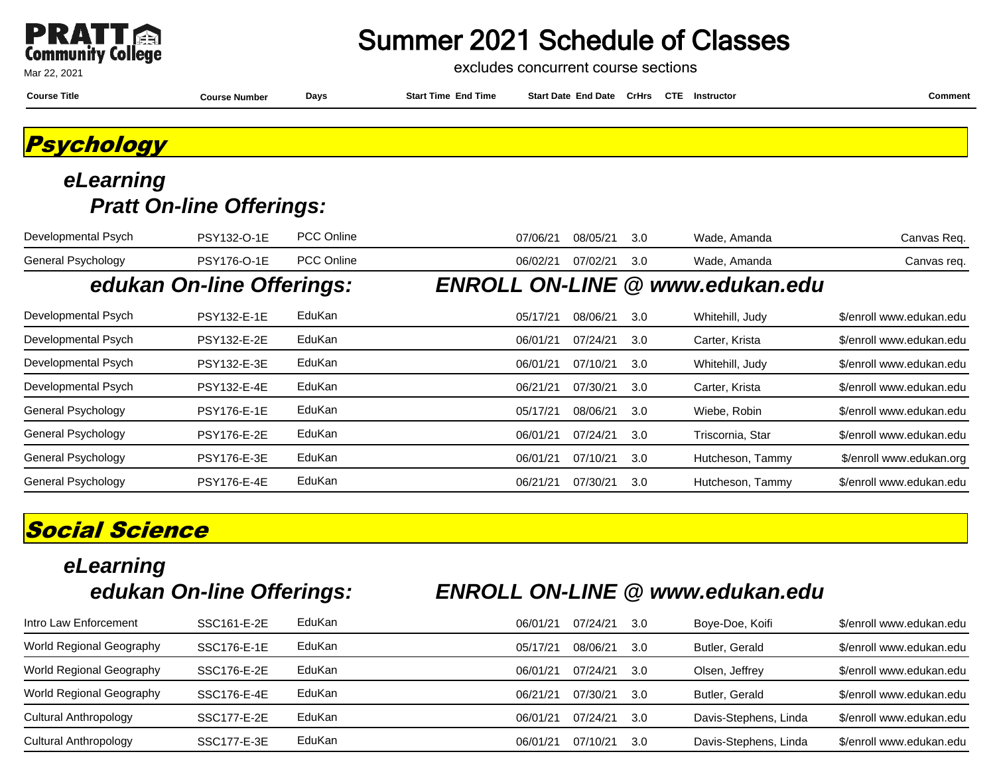

excludes concurrent course sections

|  | <b>Course Title</b> | <b>Course Number</b> | Days | <b>Start Time</b><br>End lime | <b>End Date</b><br><b>Start Date</b> | <b>CTI</b><br><b>CrHrs</b> | Instructor |  | Comment |
|--|---------------------|----------------------|------|-------------------------------|--------------------------------------|----------------------------|------------|--|---------|
|--|---------------------|----------------------|------|-------------------------------|--------------------------------------|----------------------------|------------|--|---------|

**Psychology**

#### **eLearning Pratt On-line Offerings:**

| Developmental Psych | PSY132-O-1E               | <b>PCC Online</b> | 07/06/21 | 08/05/21 | 3.0 | Wade, Amanda                           | Canvas Req.              |
|---------------------|---------------------------|-------------------|----------|----------|-----|----------------------------------------|--------------------------|
| General Psychology  | <b>PSY176-O-1E</b>        | <b>PCC Online</b> | 06/02/21 | 07/02/21 | 3.0 | Wade, Amanda                           | Canvas req.              |
|                     | edukan On-line Offerings: |                   |          |          |     | <b>ENROLL ON-LINE @ www.edukan.edu</b> |                          |
| Developmental Psych | <b>PSY132-E-1E</b>        | EduKan            | 05/17/21 | 08/06/21 | 3.0 | Whitehill, Judy                        | \$/enroll www.edukan.edu |
| Developmental Psych | <b>PSY132-E-2E</b>        | EduKan            | 06/01/21 | 07/24/21 | 3.0 | Carter, Krista                         | \$/enroll www.edukan.edu |
| Developmental Psych | <b>PSY132-E-3E</b>        | EduKan            | 06/01/21 | 07/10/21 | 3.0 | Whitehill, Judy                        | \$/enroll www.edukan.edu |
| Developmental Psych | <b>PSY132-E-4E</b>        | EduKan            | 06/21/21 | 07/30/21 | 3.0 | Carter, Krista                         | \$/enroll www.edukan.edu |
| General Psychology  | <b>PSY176-E-1E</b>        | EduKan            | 05/17/21 | 08/06/21 | 3.0 | Wiebe, Robin                           | \$/enroll www.edukan.edu |
| General Psychology  | <b>PSY176-E-2E</b>        | EduKan            | 06/01/21 | 07/24/21 | 3.0 | Triscornia, Star                       | \$/enroll www.edukan.edu |
| General Psychology  | <b>PSY176-E-3E</b>        | EduKan            | 06/01/21 | 07/10/21 | 3.0 | Hutcheson, Tammy                       | \$/enroll www.edukan.org |
| General Psychology  | <b>PSY176-E-4E</b>        | EduKan            | 06/21/21 | 07/30/21 | 3.0 | Hutcheson, Tammy                       | \$/enroll www.edukan.edu |

### **Social Science**

## **eLearning**

### **edukan On-line Offerings: ENROLL ON-LINE @ www.edukan.edu**

| Intro Law Enforcement    | SSC161-E-2E | EduKan | 06/01/21 | 07/24/21 | 3.0 | Boye-Doe, Koifi       | \$/enroll www.edukan.edu |
|--------------------------|-------------|--------|----------|----------|-----|-----------------------|--------------------------|
| World Regional Geography | SSC176-E-1E | EduKan | 05/17/21 | 08/06/21 | 3.0 | Butler, Gerald        | \$/enroll www.edukan.edu |
| World Regional Geography | SSC176-E-2E | EduKan | 06/01/21 | 07/24/21 | 3.0 | Olsen, Jeffrey        | \$/enroll www.edukan.edu |
| World Regional Geography | SSC176-E-4E | EduKan | 06/21/21 | 07/30/21 | 3.0 | Butler, Gerald        | \$/enroll www.edukan.edu |
| Cultural Anthropology    | SSC177-E-2E | EduKan | 06/01/21 | 07/24/21 | 3.0 | Davis-Stephens, Linda | \$/enroll www.edukan.edu |
| Cultural Anthropology    | SSC177-E-3E | EduKan | 06/01/21 | 07/10/21 | 3.0 | Davis-Stephens, Linda | \$/enroll www.edukan.edu |